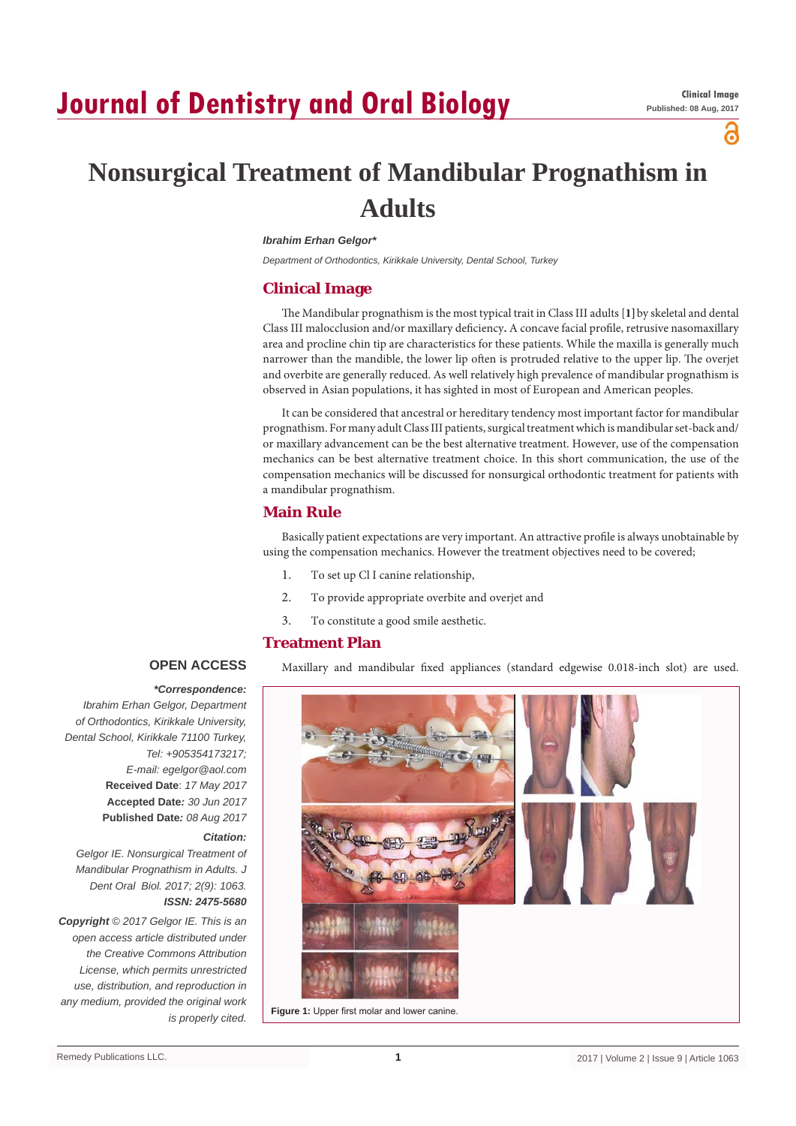# **Journal of Dentistry and Oral Biology**

്

## **Nonsurgical Treatment of Mandibular Prognathism in Adults**

#### *Ibrahim Erhan Gelgor\**

*Department of Orthodontics, Kirikkale University, Dental School, Turkey*

#### **Clinical Image**

The Mandibular prognathism is the most typical trait in Class III adults [**1]**by skeletal and dental Class III malocclusion and/or maxillary deficiency**.** A concave facial profile, retrusive nasomaxillary area and procline chin tip are characteristics for these patients. While the maxilla is generally much narrower than the mandible, the lower lip often is protruded relative to the upper lip. The overjet and overbite are generally reduced. As well relatively high prevalence of mandibular prognathism is observed in Asian populations, it has sighted in most of European and American peoples.

It can be considered that ancestral or hereditary tendency most important factor for mandibular prognathism. For many adult Class III patients, surgical treatment which is mandibular set-back and/ or maxillary advancement can be the best alternative treatment. However, use of the compensation mechanics can be best alternative treatment choice. In this short communication, the use of the compensation mechanics will be discussed for nonsurgical orthodontic treatment for patients with a mandibular prognathism.

#### **Main Rule**

Basically patient expectations are very important. An attractive profile is always unobtainable by using the compensation mechanics. However the treatment objectives need to be covered;

- 1. To set up Cl I canine relationship,
- 2. To provide appropriate overbite and overjet and
- 3. To constitute a good smile aesthetic.

## **Treatment Plan**

**OPEN ACCESS**

## *\*Correspondence:*

*Ibrahim Erhan Gelgor, Department of Orthodontics, Kirikkale University, Dental School, Kirikkale 71100 Turkey, Tel: +905354173217; E-mail: egelgor@aol.com* **Received Date**: *17 May 2017* **Accepted Date***: 30 Jun 2017* **Published Date***: 08 Aug 2017*

#### *Citation:*

*Gelgor IE. Nonsurgical Treatment of Mandibular Prognathism in Adults. J Dent Oral Biol. 2017; 2(9): 1063. ISSN: 2475-5680*

*Copyright © 2017 Gelgor IE. This is an open access article distributed under the Creative Commons Attribution License, which permits unrestricted use, distribution, and reproduction in any medium, provided the original work is properly cited.*